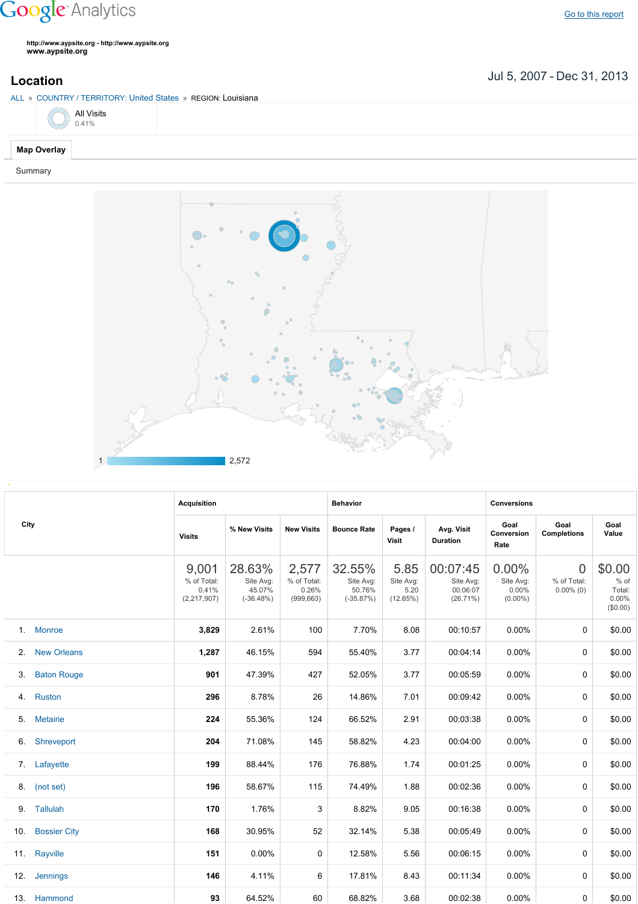## **Google** Analytics

**http://www.aypsite.org http://www.aypsite.org www.aypsite.org**

Jul 5, 2007 Dec 31, 2013 **Location**

## ALL » COUNTRY / TERRITORY: United States » REGION: Louisiana

| ALL » COUNTRY TERRITORY. UTHER STATES » REGION. LOUISIANA |  |  |  |  |  |  |  |  |
|-----------------------------------------------------------|--|--|--|--|--|--|--|--|
| All Visits<br>$0.41\%$                                    |  |  |  |  |  |  |  |  |
| <b>Map Overlay</b>                                        |  |  |  |  |  |  |  |  |

## Summary



|     | City                | <b>Acquisition</b>                           |                                              |                                             | <b>Behavior</b>                              |                                       |                                               | <b>Conversions</b>                              |                                         |                                                 |
|-----|---------------------|----------------------------------------------|----------------------------------------------|---------------------------------------------|----------------------------------------------|---------------------------------------|-----------------------------------------------|-------------------------------------------------|-----------------------------------------|-------------------------------------------------|
|     |                     | <b>Visits</b>                                | % New Visits                                 | <b>New Visits</b>                           | <b>Bounce Rate</b>                           | Pages /<br>Visit                      | Avg. Visit<br>Duration                        | Goal<br><b>Conversion</b><br>Rate               | Goal<br><b>Completions</b>              | Goal<br>Value                                   |
|     |                     | 9,001<br>% of Total:<br>0.41%<br>(2,217,907) | 28.63%<br>Site Avg:<br>45.07%<br>$(-36.48%)$ | 2,577<br>% of Total:<br>0.26%<br>(999, 663) | 32.55%<br>Site Avg:<br>50.76%<br>$(-35.87%)$ | 5.85<br>Site Avg:<br>5.20<br>(12.65%) | 00:07:45<br>Site Avg:<br>00:06:07<br>(26.71%) | $0.00\%$<br>Site Avg:<br>$0.00\%$<br>$(0.00\%)$ | $\Omega$<br>% of Total:<br>$0.00\%$ (0) | \$0.00<br>$%$ of<br>Total:<br>0.00%<br>(\$0.00) |
|     | 1. Monroe           | 3,829                                        | 2.61%                                        | 100                                         | 7.70%                                        | 8.08                                  | 00:10:57                                      | $0.00\%$                                        | 0                                       | \$0.00                                          |
|     | 2. New Orleans      | 1,287                                        | 46.15%                                       | 594                                         | 55.40%                                       | 3.77                                  | 00:04:14                                      | $0.00\%$                                        | 0                                       | \$0.00                                          |
| 3.  | <b>Baton Rouge</b>  | 901                                          | 47.39%                                       | 427                                         | 52.05%                                       | 3.77                                  | 00:05:59                                      | $0.00\%$                                        | 0                                       | \$0.00                                          |
|     | 4. Ruston           | 296                                          | 8.78%                                        | 26                                          | 14.86%                                       | 7.01                                  | 00:09:42                                      | $0.00\%$                                        | 0                                       | \$0.00                                          |
|     | 5. Metairie         | 224                                          | 55.36%                                       | 124                                         | 66.52%                                       | 2.91                                  | 00:03:38                                      | $0.00\%$                                        | $\Omega$                                | \$0.00                                          |
|     | 6. Shreveport       | 204                                          | 71.08%                                       | 145                                         | 58.82%                                       | 4.23                                  | 00:04:00                                      | $0.00\%$                                        | 0                                       | \$0.00                                          |
|     | 7. Lafayette        | 199                                          | 88.44%                                       | 176                                         | 76.88%                                       | 1.74                                  | 00:01:25                                      | $0.00\%$                                        | 0                                       | \$0.00                                          |
|     | 8. (not set)        | 196                                          | 58.67%                                       | 115                                         | 74.49%                                       | 1.88                                  | 00:02:36                                      | $0.00\%$                                        | 0                                       | \$0.00                                          |
|     | 9. Tallulah         | 170                                          | 1.76%                                        | 3                                           | 8.82%                                        | 9.05                                  | 00:16:38                                      | $0.00\%$                                        | 0                                       | \$0.00                                          |
| 10. | <b>Bossier City</b> | 168                                          | 30.95%                                       | 52                                          | 32.14%                                       | 5.38                                  | 00:05:49                                      | 0.00%                                           | 0                                       | \$0.00                                          |
|     | 11. Rayville        | 151                                          | 0.00%                                        | 0                                           | 12.58%                                       | 5.56                                  | 00:06:15                                      | $0.00\%$                                        | $\Omega$                                | \$0.00                                          |
|     | 12. Jennings        | 146                                          | 4.11%                                        | 6                                           | 17.81%                                       | 8.43                                  | 00:11:34                                      | $0.00\%$                                        | $\mathbf{0}$                            | \$0.00                                          |
|     | 13. Hammond         | 93                                           | 64.52%                                       | 60                                          | 68.82%                                       | 3.68                                  | 00:02:38                                      | $0.00\%$                                        | 0                                       | \$0.00                                          |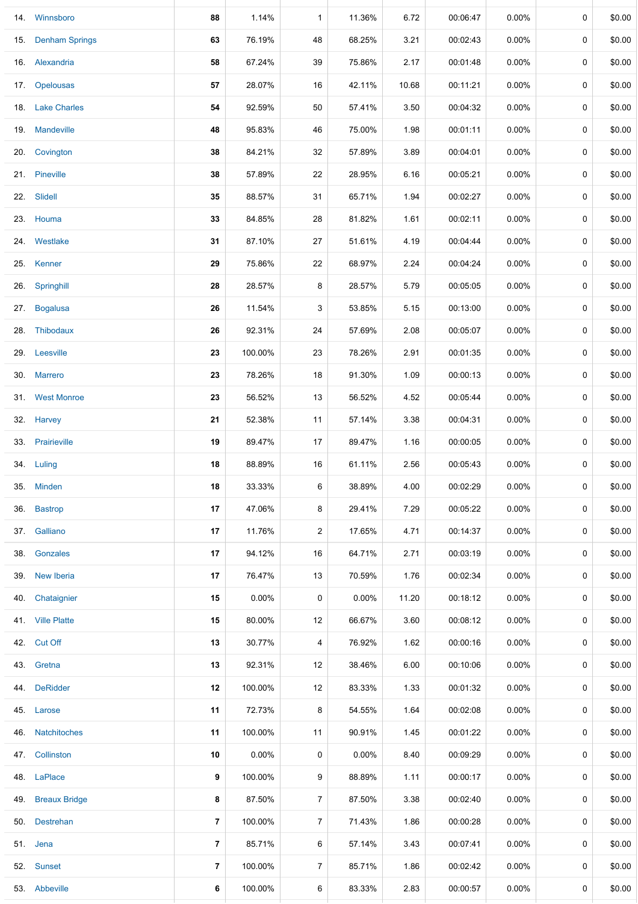|     | 14. Winnsboro      | 88             | 1.14%   | $\mathbf{1}$   | 11.36%   | 6.72  | 00:06:47 | 0.00%    | 0           | \$0.00 |
|-----|--------------------|----------------|---------|----------------|----------|-------|----------|----------|-------------|--------|
|     | 15. Denham Springs | 63             | 76.19%  | 48             | 68.25%   | 3.21  | 00:02:43 | 0.00%    | 0           | \$0.00 |
|     | 16. Alexandria     | 58             | 67.24%  | 39             | 75.86%   | 2.17  | 00:01:48 | 0.00%    | 0           | \$0.00 |
|     | 17. Opelousas      | 57             | 28.07%  | 16             | 42.11%   | 10.68 | 00:11:21 | 0.00%    | 0           | \$0.00 |
|     | 18. Lake Charles   | 54             | 92.59%  | 50             | 57.41%   | 3.50  | 00:04:32 | 0.00%    | 0           | \$0.00 |
|     | 19. Mandeville     | 48             | 95.83%  | 46             | 75.00%   | 1.98  | 00:01:11 | $0.00\%$ | 0           | \$0.00 |
|     | 20. Covington      | 38             | 84.21%  | 32             | 57.89%   | 3.89  | 00:04:01 | $0.00\%$ | 0           | \$0.00 |
|     | 21. Pineville      | 38             | 57.89%  | 22             | 28.95%   | 6.16  | 00:05:21 | $0.00\%$ | 0           | \$0.00 |
|     | 22. Slidell        | 35             | 88.57%  | 31             | 65.71%   | 1.94  | 00:02:27 | $0.00\%$ | 0           | \$0.00 |
|     | 23. Houma          | 33             | 84.85%  | 28             | 81.82%   | 1.61  | 00:02:11 | $0.00\%$ | 0           | \$0.00 |
|     | 24. Westlake       | 31             | 87.10%  | 27             | 51.61%   | 4.19  | 00:04:44 | $0.00\%$ | 0           | \$0.00 |
|     | 25. Kenner         | 29             | 75.86%  | 22             | 68.97%   | 2.24  | 00:04:24 | $0.00\%$ | 0           | \$0.00 |
|     | 26. Springhill     | 28             | 28.57%  | 8              | 28.57%   | 5.79  | 00:05:05 | $0.00\%$ | 0           | \$0.00 |
|     | 27. Bogalusa       | 26             | 11.54%  | 3              | 53.85%   | 5.15  | 00:13:00 | $0.00\%$ | 0           | \$0.00 |
|     | 28. Thibodaux      | 26             | 92.31%  | 24             | 57.69%   | 2.08  | 00:05:07 | $0.00\%$ | 0           | \$0.00 |
|     | 29. Leesville      | 23             | 100.00% | 23             | 78.26%   | 2.91  | 00:01:35 | 0.00%    | 0           | \$0.00 |
|     | 30. Marrero        | 23             | 78.26%  | 18             | 91.30%   | 1.09  | 00:00:13 | $0.00\%$ | 0           | \$0.00 |
|     | 31. West Monroe    | 23             | 56.52%  | 13             | 56.52%   | 4.52  | 00:05:44 | 0.00%    | 0           | \$0.00 |
|     | 32. Harvey         | 21             | 52.38%  | 11             | 57.14%   | 3.38  | 00:04:31 | $0.00\%$ | 0           | \$0.00 |
|     | 33. Prairieville   | 19             | 89.47%  | 17             | 89.47%   | 1.16  | 00:00:05 | 0.00%    | 0           | \$0.00 |
|     | 34. Luling         | 18             | 88.89%  | 16             | 61.11%   | 2.56  | 00:05:43 | $0.00\%$ | 0           | \$0.00 |
| 35. | <b>Minden</b>      | 18             | 33.33%  | 6              | 38.89%   | 4.00  | 00:02:29 | $0.00\%$ | 0           | \$0.00 |
| 36. | <b>Bastrop</b>     | 17             | 47.06%  | 8              | 29.41%   | 7.29  | 00:05:22 | $0.00\%$ | $\mathbf 0$ | \$0.00 |
|     | 37. Galliano       | 17             | 11.76%  | 2              | 17.65%   | 4.71  | 00:14:37 | $0.00\%$ | 0           | \$0.00 |
|     | 38. Gonzales       | 17             | 94.12%  | 16             | 64.71%   | 2.71  | 00:03:19 | $0.00\%$ | 0           | \$0.00 |
|     | 39. New Iberia     | 17             | 76.47%  | 13             | 70.59%   | 1.76  | 00:02:34 | $0.00\%$ | 0           | \$0.00 |
| 40. | Chataignier        | 15             | 0.00%   | 0              | $0.00\%$ | 11.20 | 00:18:12 | $0.00\%$ | 0           | \$0.00 |
|     | 41. Ville Platte   | 15             | 80.00%  | 12             | 66.67%   | 3.60  | 00:08:12 | $0.00\%$ | 0           | \$0.00 |
|     | 42. Cut Off        | 13             | 30.77%  | 4              | 76.92%   | 1.62  | 00:00:16 | $0.00\%$ | 0           | \$0.00 |
|     | 43. Gretna         | 13             | 92.31%  | 12             | 38.46%   | 6.00  | 00:10:06 | $0.00\%$ | 0           | \$0.00 |
|     | 44. DeRidder       | 12             | 100.00% | 12             | 83.33%   | 1.33  | 00:01:32 | $0.00\%$ | 0           | \$0.00 |
|     | 45. Larose         | 11             | 72.73%  | 8              | 54.55%   | 1.64  | 00:02:08 | $0.00\%$ | 0           | \$0.00 |
|     | 46. Natchitoches   | 11             | 100.00% | 11             | 90.91%   | 1.45  | 00:01:22 | $0.00\%$ | 0           | \$0.00 |
|     | 47. Collinston     | 10             | 0.00%   | 0              | $0.00\%$ | 8.40  | 00:09:29 | 0.00%    | 0           | \$0.00 |
|     | 48. LaPlace        | 9              | 100.00% | 9              | 88.89%   | 1.11  | 00:00:17 | 0.00%    | 0           | \$0.00 |
|     | 49. Breaux Bridge  | 8              | 87.50%  | $\overline{7}$ | 87.50%   | 3.38  | 00:02:40 | $0.00\%$ | 0           | \$0.00 |
|     | 50. Destrehan      | 7              | 100.00% | $\overline{7}$ | 71.43%   | 1.86  | 00:00:28 | $0.00\%$ | 0           | \$0.00 |
|     | 51. Jena           | $\overline{7}$ | 85.71%  | 6              | 57.14%   | 3.43  | 00:07:41 | $0.00\%$ | 0           | \$0.00 |
|     | 52. Sunset         | 7              | 100.00% | $\overline{7}$ | 85.71%   | 1.86  | 00:02:42 | $0.00\%$ | 0           | \$0.00 |
|     | 53. Abbeville      | 6              | 100.00% | 6              | 83.33%   | 2.83  | 00:00:57 | $0.00\%$ | 0           | \$0.00 |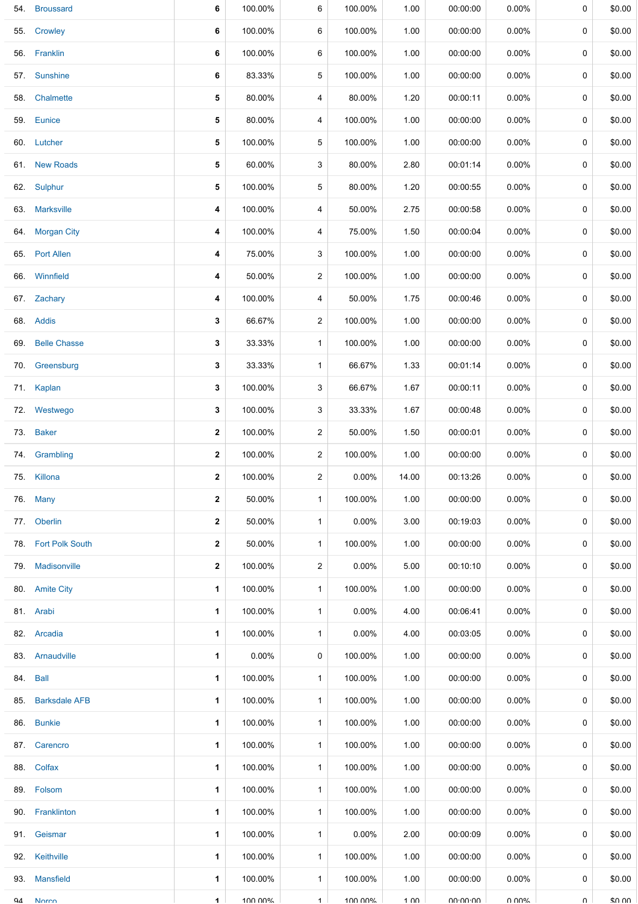|     | 54. Broussard       | 6            | 100.00%  | 6              | 100.00%  | 1.00            | 00:00:00        | 0.00%    | 0        | \$0.00 |
|-----|---------------------|--------------|----------|----------------|----------|-----------------|-----------------|----------|----------|--------|
| 55. | Crowley             | 6            | 100.00%  | 6              | 100.00%  | 1.00            | 00:00:00        | $0.00\%$ | 0        | \$0.00 |
|     | 56. Franklin        | 6            | 100.00%  | 6              | 100.00%  | 1.00            | 00:00:00        | $0.00\%$ | 0        | \$0.00 |
|     | 57. Sunshine        | 6            | 83.33%   | 5              | 100.00%  | 1.00            | 00:00:00        | $0.00\%$ | 0        | \$0.00 |
|     | 58. Chalmette       | 5            | 80.00%   | 4              | 80.00%   | 1.20            | 00:00:11        | $0.00\%$ | 0        | \$0.00 |
|     | 59. Eunice          | 5            | 80.00%   | 4              | 100.00%  | 1.00            | 00:00:00        | $0.00\%$ | 0        | \$0.00 |
|     | 60. Lutcher         | 5            | 100.00%  | 5              | 100.00%  | 1.00            | 00:00:00        | $0.00\%$ | 0        | \$0.00 |
|     | 61. New Roads       | 5            | 60.00%   | 3              | 80.00%   | 2.80            | 00:01:14        | $0.00\%$ | 0        | \$0.00 |
|     | 62. Sulphur         | 5            | 100.00%  | 5              | 80.00%   | 1.20            | 00:00:55        | $0.00\%$ | 0        | \$0.00 |
|     | 63. Marksville      | 4            | 100.00%  | 4              | 50.00%   | 2.75            | 00:00:58        | $0.00\%$ | 0        | \$0.00 |
|     | 64. Morgan City     | 4            | 100.00%  | 4              | 75.00%   | 1.50            | 00:00:04        | $0.00\%$ | 0        | \$0.00 |
|     | 65. Port Allen      | 4            | 75.00%   | 3              | 100.00%  | 1.00            | 00:00:00        | $0.00\%$ | 0        | \$0.00 |
|     | 66. Winnfield       | 4            | 50.00%   | $\overline{2}$ | 100.00%  | 1.00            | 00:00:00        | $0.00\%$ | 0        | \$0.00 |
|     | 67. Zachary         | 4            | 100.00%  | 4              | 50.00%   | 1.75            | 00:00:46        | $0.00\%$ | 0        | \$0.00 |
|     | 68. Addis           | 3            | 66.67%   | $\overline{c}$ | 100.00%  | 1.00            | 00:00:00        | $0.00\%$ | 0        | \$0.00 |
|     | 69. Belle Chasse    | 3            | 33.33%   | $\mathbf{1}$   | 100.00%  | 1.00            | 00:00:00        | 0.00%    | 0        | \$0.00 |
| 70. | Greensburg          | 3            | 33.33%   | $\mathbf{1}$   | 66.67%   | 1.33            | 00:01:14        | $0.00\%$ | 0        | \$0.00 |
|     | 71. Kaplan          | 3            | 100.00%  | 3              | 66.67%   | 1.67            | 00:00:11        | $0.00\%$ | 0        | \$0.00 |
|     | 72. Westwego        | 3            | 100.00%  | 3              | 33.33%   | 1.67            | 00:00:48        | $0.00\%$ | 0        | \$0.00 |
|     | 73. Baker           | 2            | 100.00%  | $\overline{c}$ | 50.00%   | 1.50            | 00:00:01        | $0.00\%$ | 0        | \$0.00 |
|     | 74. Grambling       | 2            | 100.00%  | $\overline{2}$ | 100.00%  | 1.00            | 00:00:00        | $0.00\%$ | 0        | \$0.00 |
|     | 75. Killona         | $\mathbf{2}$ | 100.00%  | $\overline{2}$ | $0.00\%$ | 14.00           | 00:13:26        | 0.00%    | 0        | \$0.00 |
|     | 76. Many            | 2            | 50.00%   | $\mathbf{1}$   | 100.00%  | 1.00            | 00:00:00        | $0.00\%$ | 0        | \$0.00 |
|     | 77. Oberlin         | $\mathbf{2}$ | 50.00%   | $\mathbf{1}$   | 0.00%    | 3.00            | 00:19:03        | $0.00\%$ | 0        | \$0.00 |
|     | 78. Fort Polk South | 2            | 50.00%   | $\mathbf{1}$   | 100.00%  | 1.00            | 00:00:00        | $0.00\%$ | 0        | \$0.00 |
|     | 79. Madisonville    | $\mathbf{2}$ | 100.00%  | $\overline{2}$ | 0.00%    | 5.00            | 00:10:10        | $0.00\%$ | 0        | \$0.00 |
|     | 80. Amite City      | 1            | 100.00%  | $\mathbf{1}$   | 100.00%  | 1.00            | 00:00:00        | $0.00\%$ | 0        | \$0.00 |
|     | 81. Arabi           | 1            | 100.00%  | $\mathbf{1}$   | 0.00%    | 4.00            | 00:06:41        | $0.00\%$ | 0        | \$0.00 |
|     | 82. Arcadia         | 1.           | 100.00%  | $\mathbf{1}$   | $0.00\%$ | 4.00            | 00:03:05        | $0.00\%$ | 0        | \$0.00 |
|     | 83. Arnaudville     | 1.           | $0.00\%$ | 0              | 100.00%  | 1.00            | 00:00:00        | $0.00\%$ | 0        | \$0.00 |
|     | 84. Ball            | 1.           | 100.00%  | $\mathbf{1}$   | 100.00%  | 1.00            | 00:00:00        | $0.00\%$ | 0        | \$0.00 |
|     | 85. Barksdale AFB   | 1            | 100.00%  | $\mathbf{1}$   | 100.00%  | 1.00            | 00:00:00        | $0.00\%$ | 0        | \$0.00 |
|     | 86. Bunkie          | 1            | 100.00%  | $\mathbf{1}$   | 100.00%  | 1.00            | 00:00:00        | $0.00\%$ | 0        | \$0.00 |
|     | 87. Carencro        | 1            | 100.00%  | $\mathbf{1}$   | 100.00%  | 1.00            | 00:00:00        | $0.00\%$ | 0        | \$0.00 |
|     | 88. Colfax          | 1            | 100.00%  | $\mathbf{1}$   | 100.00%  | 1.00            | 00:00:00        | $0.00\%$ | 0        | \$0.00 |
|     | 89. Folsom          | 1.           | 100.00%  | $\mathbf{1}$   | 100.00%  | 1.00            | 00:00:00        | $0.00\%$ | 0        | \$0.00 |
|     | 90. Franklinton     | 1.           | 100.00%  | $\mathbf{1}$   | 100.00%  | 1.00            | 00:00:00        | $0.00\%$ | 0        | \$0.00 |
|     | 91. Geismar         | 1            | 100.00%  | $\mathbf{1}$   | 0.00%    | 2.00            | 00:00:09        | $0.00\%$ | 0        | \$0.00 |
|     | 92. Keithville      | 1            | 100.00%  | $\mathbf{1}$   | 100.00%  | 1.00            | 00:00:00        | $0.00\%$ | 0        | \$0.00 |
|     | 93. Mansfield       | 1.           | 100.00%  | $\mathbf{1}$   | 100.00%  | 1.00            | 00:00:00        | $0.00\%$ | $\Omega$ | \$0.00 |
| QΔ  | <b>Norco</b>        | $\mathbf 1$  | 100 00%  | $\mathbf{1}$   | 100 00%  | $1 \cap \Omega$ | <b>UU-UU-UU</b> | በ በበ%    | U        | ደበ በበ  |